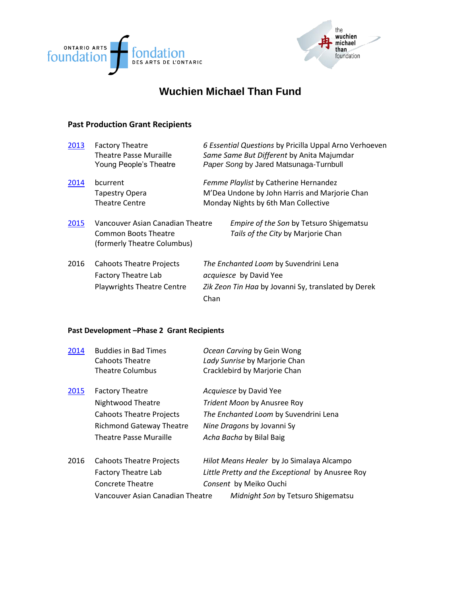



# **Wuchien Michael Than Fund**

#### **Past Production Grant Recipients**

| 2013 | <b>Factory Theatre</b><br><b>Theatre Passe Muraille</b><br>Young People's Theatre           | 6 Essential Questions by Pricilla Uppal Arno Verhoeven<br>Same Same But Different by Anita Majumdar<br>Paper Song by Jared Matsunaga-Turnbull |
|------|---------------------------------------------------------------------------------------------|-----------------------------------------------------------------------------------------------------------------------------------------------|
| 2014 | bcurrent<br>Tapestry Opera<br><b>Theatre Centre</b>                                         | Femme Playlist by Catherine Hernandez<br>M'Dea Undone by John Harris and Marjorie Chan<br>Monday Nights by 6th Man Collective                 |
| 2015 | Vancouver Asian Canadian Theatre<br>Common Boots Theatre<br>(formerly Theatre Columbus)     | <i>Empire of the Son by Tetsuro Shigematsu</i><br>Tails of the City by Marjorie Chan                                                          |
| 2016 | <b>Cahoots Theatre Projects</b><br>Factory Theatre Lab<br><b>Playwrights Theatre Centre</b> | The Enchanted Loom by Suvendrini Lena<br>acquiesce by David Yee<br>Zik Zeon Tin Haa by Jovanni Sy, translated by Derek<br>Chan                |

#### **Past Development –Phase 2 Grant Recipients**

| 2014 | <b>Buddies in Bad Times</b><br>Cahoots Theatre<br><b>Theatre Columbus</b>                                                                   | Ocean Carving by Gein Wong<br>Lady Sunrise by Marjorie Chan<br>Cracklebird by Marjorie Chan                                                                   |
|------|---------------------------------------------------------------------------------------------------------------------------------------------|---------------------------------------------------------------------------------------------------------------------------------------------------------------|
| 2015 | <b>Factory Theatre</b><br>Nightwood Theatre<br><b>Cahoots Theatre Projects</b><br><b>Richmond Gateway Theatre</b><br>Theatre Passe Muraille | Acquiesce by David Yee<br>Trident Moon by Anusree Roy<br>The Enchanted Loom by Suvendrini Lena<br>Nine Dragons by Jovanni Sy<br>Acha Bacha by Bilal Baig      |
| 2016 | Cahoots Theatre Projects<br><b>Factory Theatre Lab</b><br><b>Concrete Theatre</b><br>Vancouver Asian Canadian Theatre                       | Hilot Means Healer by Jo Simalaya Alcampo<br>Little Pretty and the Exceptional by Anusree Roy<br>Consent by Meiko Ouchi<br>Midnight Son by Tetsuro Shigematsu |